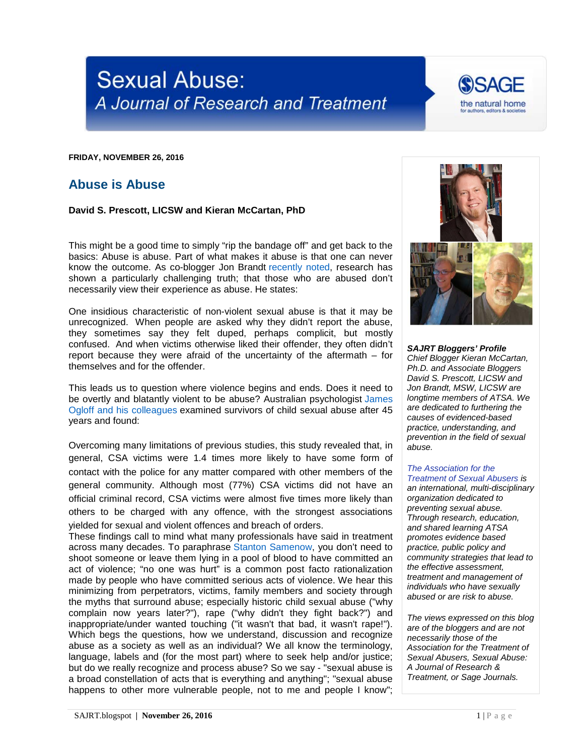## **Sexual Abuse:** A Journal of Research and Treatment



**FRIDAY, NOVEMBER 26, 2016**

## **Abuse is Abuse**

**David S. Prescott, LICSW and Kieran McCartan, PhD**

This might be a good time to simply "rip the bandage off" and get back to the basics: Abuse is abuse. Part of what makes it abuse is that one can never know the outcome. As co-blogger Jon Brandt [recently noted,](http://sajrt.blogspot.com/2014/11/sexual-violations-and-sexual-violence.html) research has shown a particularly challenging truth; that those who are abused don't necessarily view their experience as abuse. He states:

One insidious characteristic of non-violent sexual abuse is that it may be unrecognized. When people are asked why they didn't report the abuse, they sometimes say they felt duped, perhaps complicit, but mostly confused. And when victims otherwise liked their offender, they often didn't report because they were afraid of the uncertainty of the aftermath – for themselves and for the offender.

This leads us to question where violence begins and ends. Does it need to be overtly and blatantly violent to be abuse? Australian psychologist [James](http://www.aic.gov.au/publications/current%20series/tandi/421-440/tandi440.html)  [Ogloff and his colleagues](http://www.aic.gov.au/publications/current%20series/tandi/421-440/tandi440.html) examined survivors of child sexual abuse after 45 years and found:

Overcoming many limitations of previous studies, this study revealed that, in general, CSA victims were 1.4 times more likely to have some form of contact with the police for any matter compared with other members of the general community. Although most (77%) CSA victims did not have an official criminal record, CSA victims were almost five times more likely than others to be charged with any offence, with the strongest associations yielded for sexual and violent offences and breach of orders.

These findings call to mind what many professionals have said in treatment across many decades. To paraphrase [Stanton Samenow,](http://www.samenow.com/videos.html) you don't need to shoot someone or leave them lying in a pool of blood to have committed an act of violence; "no one was hurt" is a common post facto rationalization made by people who have committed serious acts of violence. We hear this minimizing from perpetrators, victims, family members and society through the myths that surround abuse; especially historic child sexual abuse ("why complain now years later?"), rape ("why didn't they fight back?") and inappropriate/under wanted touching ("it wasn't that bad, it wasn't rape!"). Which begs the questions, how we understand, discussion and recognize abuse as a society as well as an individual? We all know the terminology, language, labels and (for the most part) where to seek help and/or justice; but do we really recognize and process abuse? So we say - "sexual abuse is a broad constellation of acts that is everything and anything"; "sexual abuse happens to other more vulnerable people, not to me and people I know";



*SAJRT Bloggers' Profile Chief Blogger Kieran McCartan, Ph.D. and Associate Bloggers David S. Prescott, LICSW and Jon Brandt, MSW, LICSW are longtime members of ATSA. We are dedicated to furthering the causes of evidenced-based practice, understanding, and prevention in the field of sexual abuse.*

## *[The Association for the](http://atsa.com/)*

*[Treatment of Sexual Abusers](http://atsa.com/) is an international, multi-disciplinary organization dedicated to preventing sexual abuse. Through research, education, and shared learning ATSA promotes evidence based practice, public policy and community strategies that lead to the effective assessment, treatment and management of individuals who have sexually abused or are risk to abuse.* 

*The views expressed on this blog are of the bloggers and are not necessarily those of the Association for the Treatment of Sexual Abusers, Sexual Abuse: A Journal of Research & Treatment, or Sage Journals.*